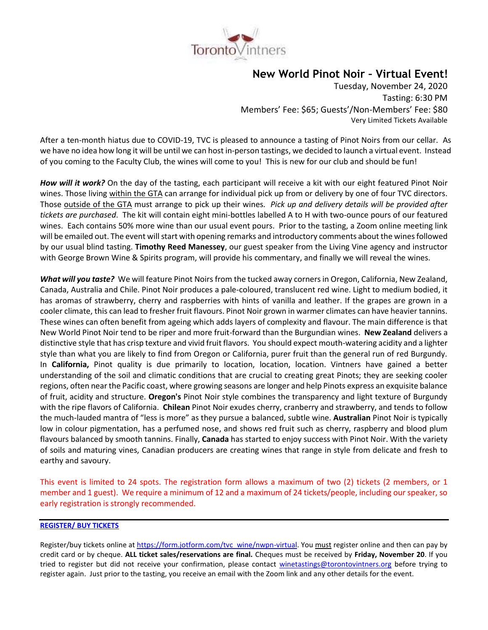

# **New World Pinot Noir – Virtual Event!**

Tuesday, November 24, 2020 Tasting: 6:30 PM Members' Fee: \$65; Guests'/Non-Members' Fee: \$80 Very Limited Tickets Available

After a ten-month hiatus due to COVID-19, TVC is pleased to announce a tasting of Pinot Noirs from our cellar. As we have no idea how long it will be until we can host in-person tastings, we decided to launch a virtual event. Instead of you coming to the Faculty Club, the wines will come to you! This is new for our club and should be fun!

*How will it work?* On the day of the tasting, each participant will receive a kit with our eight featured Pinot Noir wines. Those living within the GTA can arrange for individual pick up from or delivery by one of four TVC directors. Those outside of the GTA must arrange to pick up their wines*. Pick up and delivery details will be provided after tickets are purchased*. The kit will contain eight mini-bottles labelled A to H with two-ounce pours of our featured wines. Each contains 50% more wine than our usual event pours. Prior to the tasting, a Zoom online meeting link will be emailed out. The event will start with opening remarks and introductory comments about the wines followed by our usual blind tasting. **Timothy Reed Manessey**, our guest speaker from the Living Vine agency and instructor with George Brown Wine & Spirits program, will provide his commentary, and finally we will reveal the wines.

*What will you taste?* We will feature Pinot Noirs from the tucked away corners in Oregon, California, New Zealand, Canada, Australia and Chile. Pinot Noir produces a pale-coloured, translucent red wine. Light to medium bodied, it has aromas of strawberry, cherry and raspberries with hints of vanilla and leather. If the grapes are grown in a cooler climate, this can lead to fresher fruit flavours. Pinot Noir grown in warmer climates can have heavier tannins. These wines can often benefit from ageing which adds layers of complexity and flavour. The main difference is that New World Pinot Noir tend to be riper and more fruit-forward than the Burgundian wines. **New Zealand** delivers a distinctive style that has crisp texture and vivid fruit flavors. You should expect mouth-watering acidity and a lighter style than what you are likely to find from Oregon or California, purer fruit than the general run of red Burgundy. In **California,** Pinot quality is due primarily to location, location, location. Vintners have gained a better understanding of the soil and climatic conditions that are crucial to creating great Pinots; they are seeking cooler regions, often near the Pacific coast, where growing seasons are longer and help Pinots express an exquisite balance of fruit, acidity and structure. **Oregon's** Pinot Noir style combines the transparency and light texture of Burgundy with the ripe flavors of California. **Chilean** Pinot Noir exudes cherry, cranberry and strawberry, and tends to follow the much-lauded mantra of "less is more" as they pursue a balanced, subtle wine. **Australian** Pinot Noir is typically low in colour pigmentation, has a perfumed nose, and shows red fruit such as cherry, raspberry and blood plum flavours balanced by smooth tannins. Finally, **Canada** has started to enjoy success with Pinot Noir. With the variety of soils and maturing vines, Canadian producers are creating wines that range in style from delicate and fresh to earthy and savoury.

This event is limited to 24 spots. The registration form allows a maximum of two (2) tickets (2 members, or 1 member and 1 guest). We require a minimum of 12 and a maximum of 24 tickets/people, including our speaker, so early registration is strongly recommended.

## **[REGISTER/ BUY TICKETS](https://form.jotform.com/tvc_wine/nwpn-virtual)**

Register/buy tickets online at [https://form.jotform.com/tvc\\_wine/nwpn-virtual.](https://form.jotform.com/tvc_wine/nwpn-virtual) You must register online and then can pay by credit card or by cheque. **ALL ticket sales/reservations are final.** Cheques must be received by **Friday, November 20**. If you tried to register but did not receive your confirmation, please contact [winetastings@torontovintners.org](mailto:winetastings@torontovintners.org) before trying to register again. Just prior to the tasting, you receive an email with the Zoom link and any other details for the event.